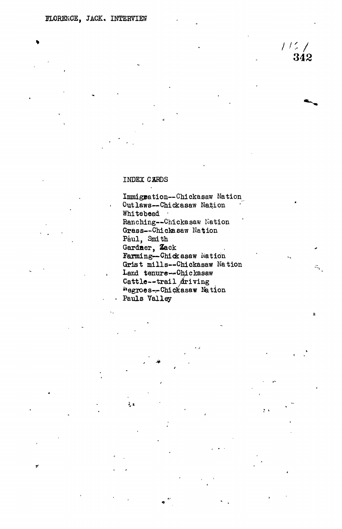## INDEX CARDS

रे, उ

Immigration---Chickasaw Nation Outlaws--Chickasaw Nation Whitebead . Ranching--Chickasaw Nation Grass--Chickasaw Nation Paul, Smith Gardner, Zack Farming--Chickasaw Nation Grist mills--Chickasaw Nation Land tenure--Chickasaw Cattle--trail driving Negroes--Chickasaw Nation Pauls Valley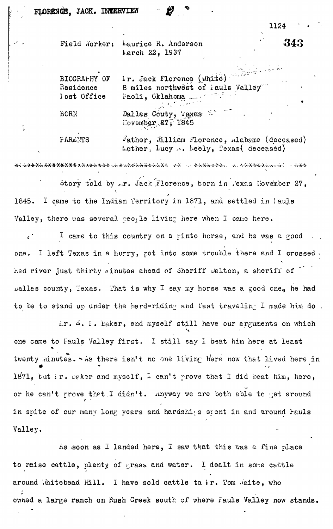|  | Field Worker: Laurice R. Anderson | 343 |
|--|-----------------------------------|-----|
|  | Larch 22, 1937                    |     |
|  |                                   |     |

| BIOGRAPHY OF | Ir. Jack Florence (white)                    |
|--------------|----------------------------------------------|
| Residence    | 8 miles northwest of Jauls Valley            |
| Iost Office  | Faoli, Oklahoma                              |
| <b>EORN</b>  | Dallas Couty, Texas Et<br>November $27.1845$ |

÷.

FARENTS Father, Lilliam Florence, Alabama (deceased)  $\text{Lother}, \text{Lucy} \sim \text{height}, \text{Texas}(\text{decesed})$ 

-fc-ft-jHi--.. -yi.-V-X-fc-WHrt.w-.-w-: - -JHHr Story told by  $\mathbb{L}_r$ . Jack Florence, born in Pexas November 27,  $\ddot{\phantom{0}}$ 1845. I came to the Indian Territory in 1871, and settled in 1aujs Valley, there was several peo. le living here when I came here.

I came to this country on a rinto horse, and he was a good one. I left Texas in a hurry, got into some trouble there and I crossed. hed river just thirty minutes ahead of Sheriff Delton, a sheriff of  $\mu$ allas county, Texas. That is why I say my horse was a good cneq he had to be to stand up under the hard-riding and fast traveling I made him do.

ir.  $\omega$ . I. Eaker, and myself still have our arguments on which one came to Fauls Valley first. I still say I beat him here at least twenty minutes.  $\sim$  As there isn't no one living here now that lived here in 1871, but ir. ceker and myself,  $\frac{1}{4}$  can't prove that I did beat him, here, or he can't prove that.I didn't. Anyway we are both able to get around in spite of our many long years and hardships spent in and around Pauls Valley.

As soon as I landed here, I saw that this was a fine place to raise cattle, plenty of grass and water. I dealt in some cattle around  $\delta$  initebead Hill. I have sold cattle to  $k$ r. Tom  $\delta$ eite, who **\*** owned a large ranch on Rush Creek south of where Fauls Valley now stands.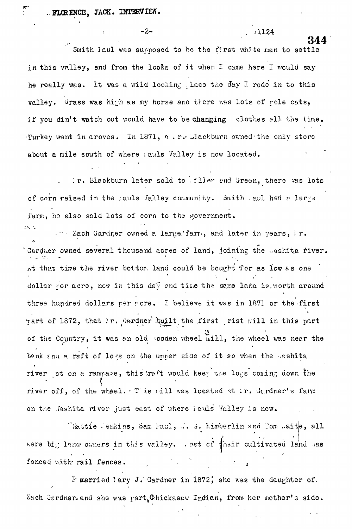344<br>...  $\frac{1}{2}$ smith laul was supposed to be the first white  $\frac{1}{2}$ in this valley, and from the looks of it when I came here I would say he really was. It was a wild looking ,lace *the* day I rode in to this valley. Urass was high as my horse and there was lots of pole cats, if you din't watch out would have to be changing clothes all the time. Turkey went in aroves. In 1871, a .r. Llackburn owned the only store about a mile south of where *reals* Valley is now located.

 $-2$  **-2 1124** 

Ir. Blackburn later sold to . iller and Green, there was lots of corn raised in the sauls /alley community. Smith . aul had a large farm, he also sold lots of corn to the government.

 $\cdots$  Zach Gardner owned a large.'farro, and later in years, i.e. Gardner owned several thousand acres of land, joining the .ashita river. At that time the river bottom land could be bought for as low as one dollar per acre, now in this day and time the same land is worth around three hundred dollars per scre. I believe it was in 1871 or the first rart of 1872, that ir. dardner built the first rist mill in this part of the Country, it was an old -ooden wheel  $\mathbb{R}$  iill, the wheel was near the benk and a raft of logs on the upper side of it so when the Lashita river \_ot on a rampage, this ratt would keey the logs coming down the river off, of the wheel. This rill was located at ir. Gardner's farm on the .*lashita river just east of where i auls Valley is now.* 

"Hattie .enkins, Sam Faul, ... *d.* Kimberlin «nd Tom .aite, all were big lana owners in this valley. . ost of their cultivated land bas fenced with rail fences.

*"k* married I ary J.' Gardner in 1872 J she was the daughter of. Zach Gerdner, and she was part<sub>u</sub>Chickasav Indian, from her mother's side.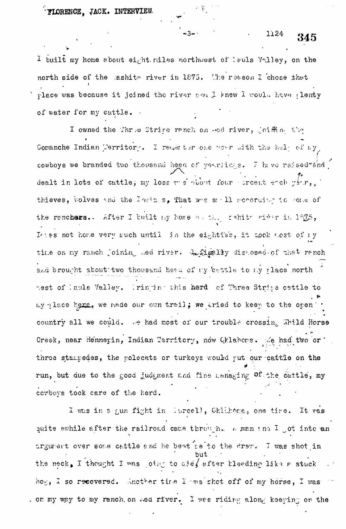I built my home about eight miles northwest of lauls Valley, on the north side of the lashits river in 1875. The reason I chose that place was because it joined the river and I knew I would have plenty of water for my cattle.

 $-3-1$ 

I owned the Three Strine ranch on ed river, joiffine the Comanche Indian Merritory. I reast tor one wear with the help of my cowboys we branded two thousand head of yearlings. I have raised zand dealt in lots of cattle; my loss west not four excent each year, thieves, wolves and the India s, That was said according to come of the renchers. After I built my home anthough that river in 1975, Ittes not home very much until in the eighties, it took most of my time on my ranch joining med river. A figally disposed of that rench and brought about two thousand head of my 'eattle to my place north mest of lauls Valley. Iringing this herd of Three Stripe cettle to my place hang, we made our own trail; we tried to keep to the open country all we could. We had most of our trouble crossing Whild Horse Creek, near Hennepin, Indian Territory, now Oklahoma. Me had two or three stampedes, the polecats or turkeys would put our cattle on the run, but due to the good judgment and fine anaging of the cattle, my corboys took care of the herd.

I was in a gun fight in lurcell, Ghlihoma, one time. It was quite awhile after the railroad came through. A man and I got into an argument over some cattle and he beat net to the draw. I was shot in the neck, I thought I was joing to die, efter bleeding like a stuck hog, I so recovered. Another time I was shot off of my horse, I was , on my way to my ranch, on ned river. I was riding along keeping on the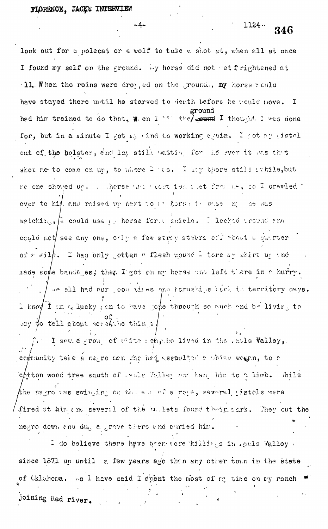$-4-$ 

 $1124 -$ 346

look out for a polecat or a wolf to take a shot at, when all at once I found my self on the ground. Ly horse did not retfrightened at 11. When the reins were droy, ed on the ground., my horse would have stayed there until he starved to death before he would move. Ĩ. ground had him trained to do that,  $\overline{x}$  and  $\overline{1}$  is the  $\overline{1}$  thought I was done for, but in a minute I got my wind to working sysin. I got ay jistol out of the holster, and lay still vality for id sver it was thit shot ne to come on up, to where 1 is. I hay there still athile, but re one shoved up. . . .herse was recovables to the indicate of I cravied t over to him and raised up next to at horse is case of the was watching,  $\left[1$  could use  $\frac{1}{2}$  herse forts shield. I leched tround and could not see any one, only a few stray steers off about a quirter of  $\epsilon$  wilh. I had only jotten a flesh wound  $\frac{1}{\epsilon}$  tore by shirt up and made sote bandages; then I got on my horse and left there in a hurry. se all had our countries and haraships lack in territory days. 1 know I im a lucky pan to bave gome through so much and be living to er tell about screen thans. I saw a group of white rehatholdived in the raple Valley, cognumity take a negro men the hed assaulted a chine women, to a  $\alpha$  of the wood tree south of lands Valley and hangehing to a limb. Thile the nagro vas swinging on the succells roge, several pistols were fired at him and several of the builets found theightark. They cut the negro down and dug a grave there and puried him.

I do believe there have been nore killings in . ands Valley . since 1871 up until a few years ago than any other town in the state of Cklahoma. As I have said I spent the most of my time on my ranch. joining Red river.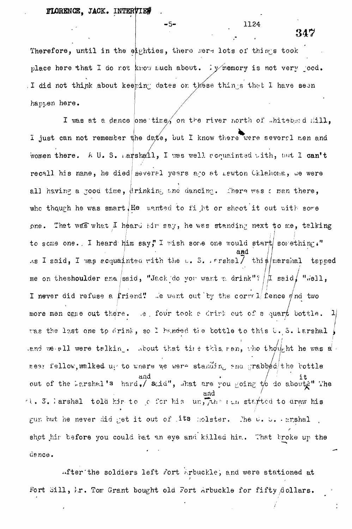## FLORENCE, JACK. INTERVIE#

-5-

Therefore, until in the eighties, there mere lots of things took place here that I do not know much about. Ty memory is not very poed. I did not think about keeping dates on these things that I have seen happen here.

I was at a dance one time, on the river north of whitebead Hill, I just can not remember the date, but I know there were several men and women there. A U. S. Larshall, I was well acquainted with, but I can't recall his name, he died several years are at Lawton Cklahoma, we were all having a good time, drinking and dancing. There was a man there, who though he was smart. He wanted to fi ht or shoot it out with some one. Thet was what I heard him say, he was standing next to me, talking to some one. I heard him say, I wish some one would start something." As I said, I was acquainted with the  $\cup$ . S. Frshal $\overline{7}$ thi  $\frac{1}{2}$  marshal tapped me on the shoulder and said, "Jack do you want a drink"?  $\pi$  said, "well, I never did refuse a friend! We went out by the correl fence  $\oint$ nd two more men cane out there. Let four took a drink out of a quart bottle.  $|1|$ was the last one to drink, so I handed the bottle to this b. S. Larshal end we all were talkin.. About that the this ran, the thought he was a near fellow, malked us to where we were standing and grabbed the bottle out of the harshal's hard, said", that are you going to do about i" The A. 5. larshal told him to ge for his un. The run started to draw his gun but he never did get it out of . its holster. The U. D. Arshal shot hir before you could bat an eye and killed him. That broke up the dence.

after the soldiers left fort Arbuckle, and were stationed at Fort Sill, Ir. Tom Grant bought old Fort Arbuckle for fifty Acllars.

347

1124